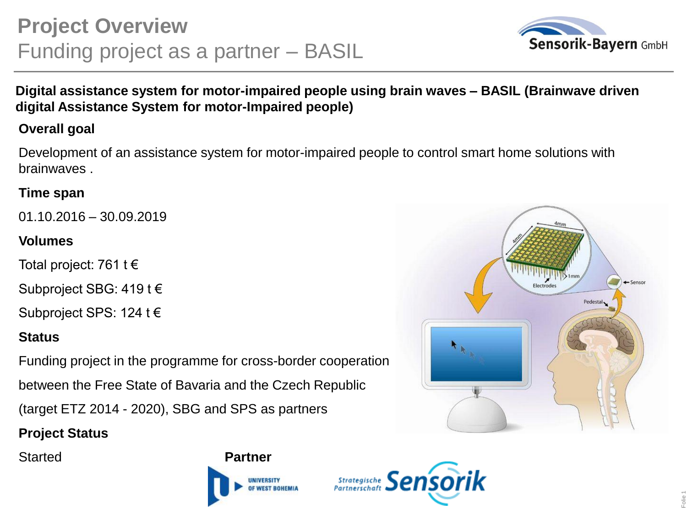

## **Digital assistance system for motor-impaired people using brain waves – BASIL (Brainwave driven digital Assistance System for motor-Impaired people)**

## **Overall goal**

Development of an assistance system for motor-impaired people to control smart home solutions with brainwaves .

#### **Time span**

01.10.2016 – 30.09.2019

## **Volumes**

Total project: 761 t €

Subproject SBG: 419 t €

Subproject SPS: 124 t €

## **Status**

Funding project in the programme for cross-border cooperation between the Free State of Bavaria and the Czech Republic (target ETZ 2014 - 2020), SBG and SPS as partners

# **Project Status**





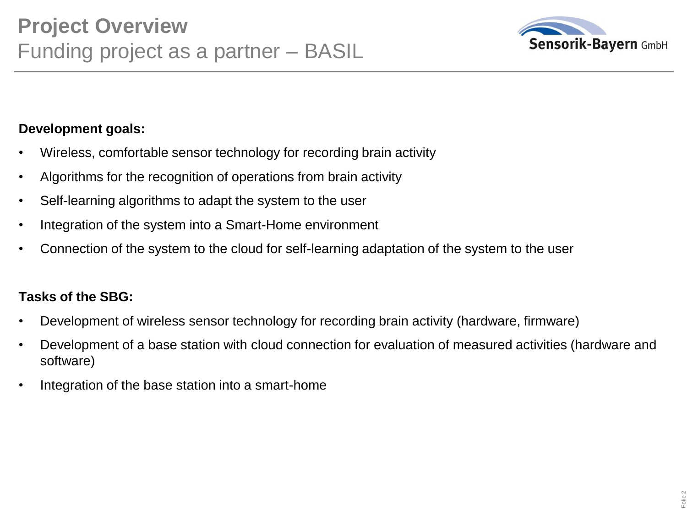

## **Development goals:**

- Wireless, comfortable sensor technology for recording brain activity
- Algorithms for the recognition of operations from brain activity
- Self-learning algorithms to adapt the system to the user
- Integration of the system into a Smart-Home environment
- Connection of the system to the cloud for self-learning adaptation of the system to the user

#### **Tasks of the SBG:**

- Development of wireless sensor technology for recording brain activity (hardware, firmware)
- Development of a base station with cloud connection for evaluation of measured activities (hardware and software)
- Integration of the base station into a smart-home